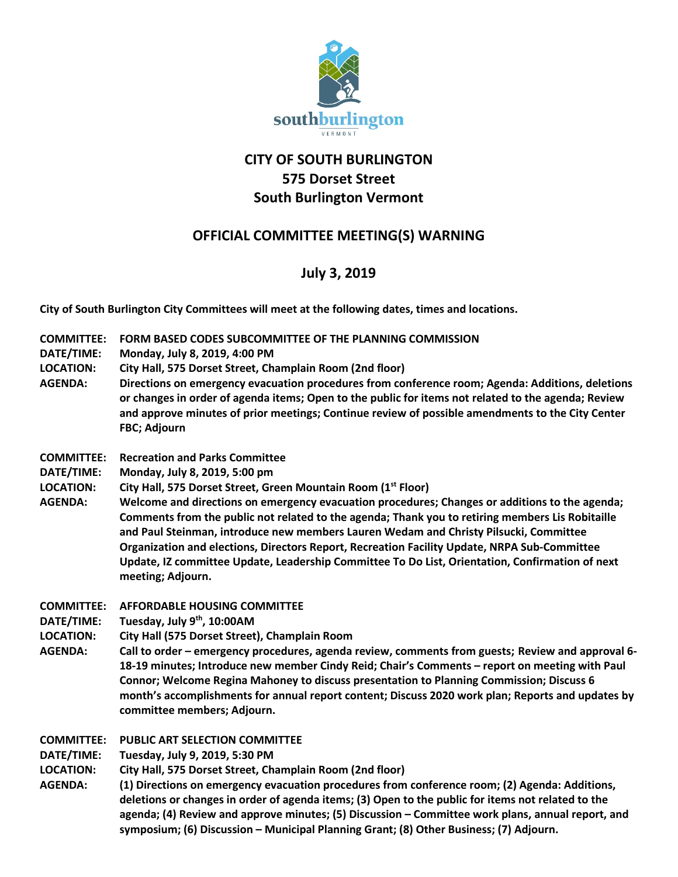

# **CITY OF SOUTH BURLINGTON 575 Dorset Street South Burlington Vermont**

## **OFFICIAL COMMITTEE MEETING(S) WARNING**

## **July 3, 2019**

**City of South Burlington City Committees will meet at the following dates, times and locations.** 

- **COMMITTEE: FORM BASED CODES SUBCOMMITTEE OF THE PLANNING COMMISSION**
- **DATE/TIME: Monday, July 8, 2019, 4:00 PM**
- **LOCATION: City Hall, 575 Dorset Street, Champlain Room (2nd floor)**
- **AGENDA: Directions on emergency evacuation procedures from conference room; Agenda: Additions, deletions or changes in order of agenda items; Open to the public for items not related to the agenda; Review and approve minutes of prior meetings; Continue review of possible amendments to the City Center FBC; Adjourn**
- **COMMITTEE: Recreation and Parks Committee**
- **DATE/TIME: Monday, July 8, 2019, 5:00 pm**
- **LOCATION: City Hall, 575 Dorset Street, Green Mountain Room (1st Floor)**
- **AGENDA: Welcome and directions on emergency evacuation procedures; Changes or additions to the agenda; Comments from the public not related to the agenda; Thank you to retiring members Lis Robitaille and Paul Steinman, introduce new members Lauren Wedam and Christy Pilsucki, Committee Organization and elections, Directors Report, Recreation Facility Update, NRPA Sub-Committee Update, IZ committee Update, Leadership Committee To Do List, Orientation, Confirmation of next meeting; Adjourn.**

**COMMITTEE: AFFORDABLE HOUSING COMMITTEE**

- **DATE/TIME: Tuesday, July 9th, 10:00AM**
- **LOCATION: City Hall (575 Dorset Street), Champlain Room**
- **AGENDA: Call to order – emergency procedures, agenda review, comments from guests; Review and approval 6- 18-19 minutes; Introduce new member Cindy Reid; Chair's Comments – report on meeting with Paul Connor; Welcome Regina Mahoney to discuss presentation to Planning Commission; Discuss 6 month's accomplishments for annual report content; Discuss 2020 work plan; Reports and updates by committee members; Adjourn.**

**COMMITTEE: PUBLIC ART SELECTION COMMITTEE**

**DATE/TIME: Tuesday, July 9, 2019, 5:30 PM**

- **LOCATION: City Hall, 575 Dorset Street, Champlain Room (2nd floor)**
- **AGENDA: (1) Directions on emergency evacuation procedures from conference room; (2) Agenda: Additions, deletions or changes in order of agenda items; (3) Open to the public for items not related to the agenda; (4) Review and approve minutes; (5) Discussion – Committee work plans, annual report, and symposium; (6) Discussion – Municipal Planning Grant; (8) Other Business; (7) Adjourn.**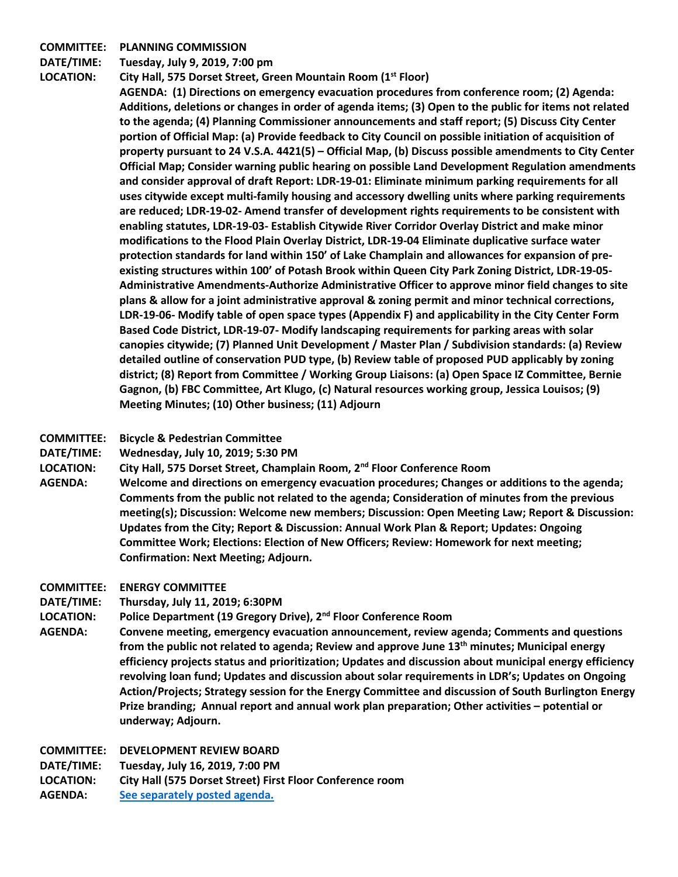#### **COMMITTEE: PLANNING COMMISSION**

**DATE/TIME: Tuesday, July 9, 2019, 7:00 pm**

**LOCATION: City Hall, 575 Dorset Street, Green Mountain Room (1st Floor)**

**AGENDA: (1) Directions on emergency evacuation procedures from conference room; (2) Agenda: Additions, deletions or changes in order of agenda items; (3) Open to the public for items not related to the agenda; (4) Planning Commissioner announcements and staff report; (5) Discuss City Center portion of Official Map: (a) Provide feedback to City Council on possible initiation of acquisition of property pursuant to 24 V.S.A. 4421(5) – Official Map, (b) Discuss possible amendments to City Center Official Map; Consider warning public hearing on possible Land Development Regulation amendments and consider approval of draft Report: LDR-19-01: Eliminate minimum parking requirements for all uses citywide except multi-family housing and accessory dwelling units where parking requirements are reduced; LDR-19-02- Amend transfer of development rights requirements to be consistent with enabling statutes, LDR-19-03- Establish Citywide River Corridor Overlay District and make minor modifications to the Flood Plain Overlay District, LDR-19-04 Eliminate duplicative surface water protection standards for land within 150' of Lake Champlain and allowances for expansion of preexisting structures within 100' of Potash Brook within Queen City Park Zoning District, LDR-19-05- Administrative Amendments-Authorize Administrative Officer to approve minor field changes to site plans & allow for a joint administrative approval & zoning permit and minor technical corrections, LDR-19-06- Modify table of open space types (Appendix F) and applicability in the City Center Form Based Code District, LDR-19-07- Modify landscaping requirements for parking areas with solar canopies citywide; (7) Planned Unit Development / Master Plan / Subdivision standards: (a) Review detailed outline of conservation PUD type, (b) Review table of proposed PUD applicably by zoning district; (8) Report from Committee / Working Group Liaisons: (a) Open Space IZ Committee, Bernie Gagnon, (b) FBC Committee, Art Klugo, (c) Natural resources working group, Jessica Louisos; (9) Meeting Minutes; (10) Other business; (11) Adjourn**

#### **COMMITTEE: Bicycle & Pedestrian Committee**

- **DATE/TIME: Wednesday, July 10, 2019; 5:30 PM**
- **LOCATION: City Hall, 575 Dorset Street, Champlain Room, 2nd Floor Conference Room**
- **AGENDA: Welcome and directions on emergency evacuation procedures; Changes or additions to the agenda; Comments from the public not related to the agenda; Consideration of minutes from the previous meeting(s); Discussion: Welcome new members; Discussion: Open Meeting Law; Report & Discussion: Updates from the City; Report & Discussion: Annual Work Plan & Report; Updates: Ongoing Committee Work; Elections: Election of New Officers; Review: Homework for next meeting; Confirmation: Next Meeting; Adjourn.**
- **COMMITTEE: ENERGY COMMITTEE**
- **DATE/TIME: Thursday, July 11, 2019; 6:30PM**
- **LOCATION: Police Department (19 Gregory Drive), 2nd Floor Conference Room**
- **AGENDA: Convene meeting, emergency evacuation announcement, review agenda; Comments and questions from the public not related to agenda; Review and approve June 13th minutes; Municipal energy efficiency projects status and prioritization; Updates and discussion about municipal energy efficiency revolving loan fund; Updates and discussion about solar requirements in LDR's; Updates on Ongoing Action/Projects; Strategy session for the Energy Committee and discussion of South Burlington Energy Prize branding; Annual report and annual work plan preparation; Other activities – potential or underway; Adjourn.**

**COMMITTEE: DEVELOPMENT REVIEW BOARD**

**DATE/TIME: Tuesday, July 16, 2019, 7:00 PM**

**LOCATION: City Hall (575 Dorset Street) First Floor Conference room**

**AGENDA: [See separately posted agenda.](http://sbvt-records.info/WebLink/Browse.aspx?id=40953&dbid=0&repo=sburl)**